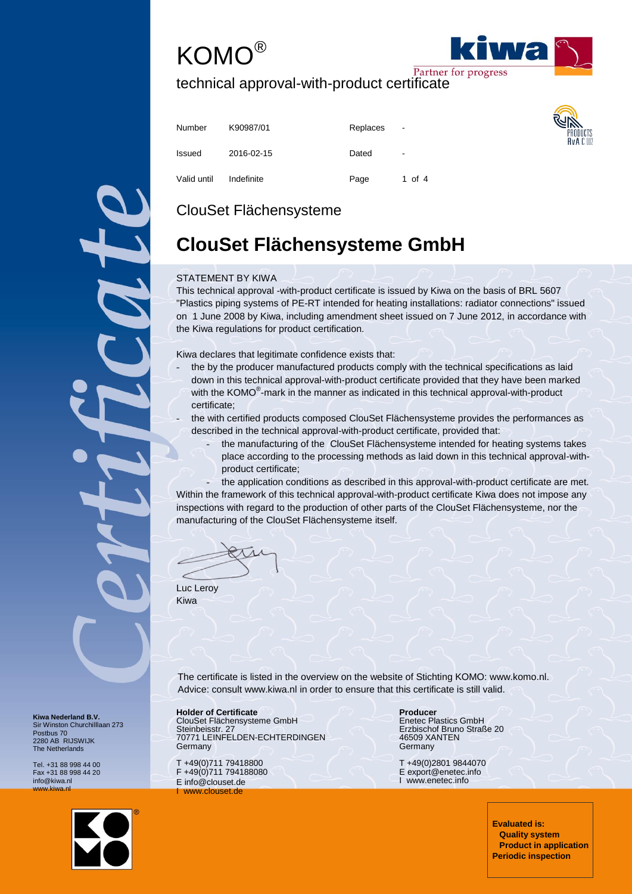# KOMO<sup>®</sup>



technical approval-with-product certificate

| Number      | K90987/01  | Replaces | $\blacksquare$ | RUN<br>PRODUCTS<br><b>RvACO</b> |
|-------------|------------|----------|----------------|---------------------------------|
| Issued      | 2016-02-15 | Dated    | $\blacksquare$ |                                 |
| Valid until | Indefinite | Page     | 1 of $4$       |                                 |

### ClouSet Flächensysteme

## **ClouSet Flächensysteme GmbH**

### STATEMENT BY KIWA

This technical approval -with-product certificate is issued by Kiwa on the basis of BRL 5607 "Plastics piping systems of PE-RT intended for heating installations: radiator connections" issued on 1 June 2008 by Kiwa, including amendment sheet issued on 7 June 2012, in accordance with the Kiwa regulations for product certification.

Kiwa declares that legitimate confidence exists that:

the by the producer manufactured products comply with the technical specifications as laid down in this technical approval-with-product certificate provided that they have been marked with the KOMO<sup>®</sup>-mark in the manner as indicated in this technical approval-with-product certificate;

the with certified products composed ClouSet Flächensysteme provides the performances as described in the technical approval-with-product certificate, provided that:

the manufacturing of the ClouSet Flächensysteme intended for heating systems takes place according to the processing methods as laid down in this technical approval-withproduct certificate;

the application conditions as described in this approval-with-product certificate are met. Within the framework of this technical approval-with-product certificate Kiwa does not impose any inspections with regard to the production of other parts of the ClouSet Flächensysteme, nor the manufacturing of the ClouSet Flächensysteme itself.

Luc Leroy Kiwa

The certificate is listed in the overview on the website of Stichting KOMO: www.komo.nl. Advice: consult www.kiwa.nl in order to ensure that this certificate is still valid.

**Holder of Certificate** ClouSet Flächensysteme GmbH Steinbeisstr. 27 70771 LEINFELDEN-ECHTERDINGEN **Germany** 

T +49(0)711 79418800 F +49(0)711 794188080 E info@clouset.de I www.clouset.de

**Producer** Enetec Plastics GmbH Erzbischof Bruno Straße 20 46509 XANTEN **Germany** 

T +49(0)2801 9844070 E export@enetec.info I www.enetec.info

> **Evaluated is: Quality system Product in application Periodic inspection**

**Kiwa Nederland B.V.** Sir Winston Churchilllaan 273 Postbus 70 2280 AB RIJSWIJK The Netherlands

Tel. +31 88 998 44 00 Fax +31 88 998 44 20 info@kiwa.nl www.kiwa.nl

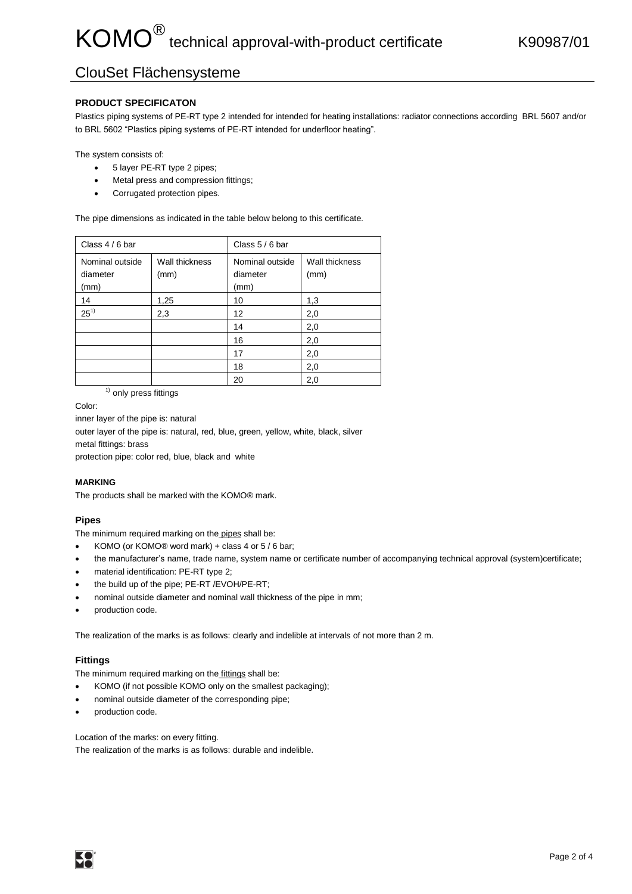### ClouSet Flächensysteme

### **PRODUCT SPECIFICATON**

Plastics piping systems of PE-RT type 2 intended for intended for heating installations: radiator connections according BRL 5607 and/or to BRL 5602 "Plastics piping systems of PE-RT intended for underfloor heating".

The system consists of:

- 5 layer PE-RT type 2 pipes;
- Metal press and compression fittings;
- Corrugated protection pipes.

The pipe dimensions as indicated in the table below belong to this certificate.

| Class 4 / 6 bar             |                        | Class 5 / 6 bar             |                        |  |
|-----------------------------|------------------------|-----------------------------|------------------------|--|
| Nominal outside<br>diameter | Wall thickness<br>(mm) | Nominal outside<br>diameter | Wall thickness<br>(mm) |  |
| (mm)                        |                        | (mm)                        |                        |  |
| 14                          | 1,25                   | 10                          | 1,3                    |  |
| $25^{1}$                    | 2,3                    | 12                          | 2,0                    |  |
|                             |                        | 14                          | 2,0                    |  |
|                             |                        | 16                          | 2,0                    |  |
|                             |                        | 17                          | 2,0                    |  |
|                             |                        | 18                          | 2,0                    |  |
|                             |                        | 20                          | 2,0                    |  |

 $<sup>1)</sup>$  only press fittings</sup>

Color:

inner layer of the pipe is: natural

outer layer of the pipe is: natural, red, blue, green, yellow, white, black, silver metal fittings: brass

protection pipe: color red, blue, black and white

#### **MARKING**

The products shall be marked with the KOMO® mark.

### **Pipes**

The minimum required marking on the pipes shall be:

- KOMO (or KOMO® word mark) + class 4 or 5 / 6 bar;
- the manufacturer's name, trade name, system name or certificate number of accompanying technical approval (system)certificate;
- material identification: PE-RT type 2;
- the build up of the pipe; PE-RT /EVOH/PE-RT;
- nominal outside diameter and nominal wall thickness of the pipe in mm;
- production code.

The realization of the marks is as follows: clearly and indelible at intervals of not more than 2 m.

### **Fittings**

The minimum required marking on the fittings shall be:

- KOMO (if not possible KOMO only on the smallest packaging);
- nominal outside diameter of the corresponding pipe;
- production code.

Location of the marks: on every fitting.

The realization of the marks is as follows: durable and indelible.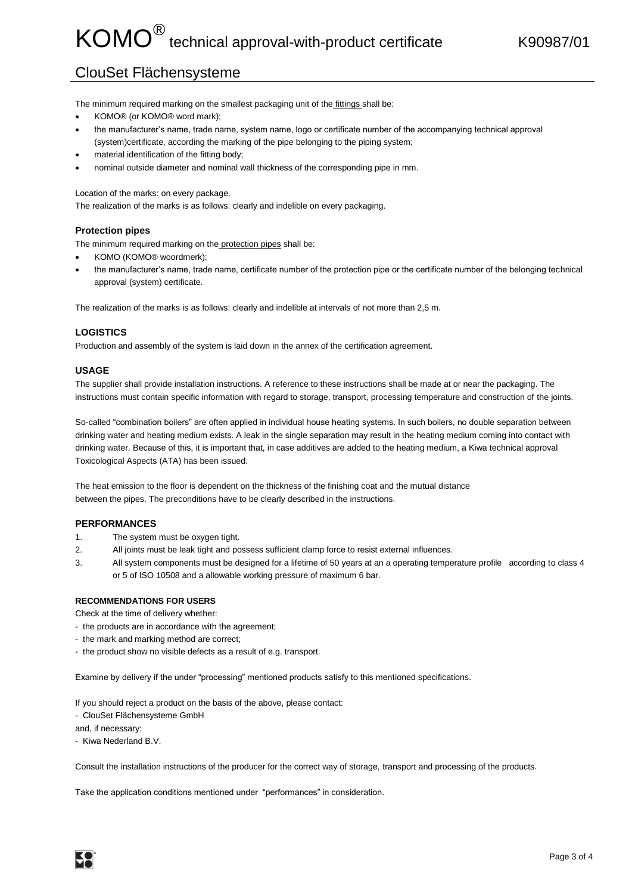### ClouSet Flächensysteme

The minimum required marking on the smallest packaging unit of the fittings shall be:

- KOMO® (or KOMO® word mark);
- the manufacturer's name, trade name, system name, logo or certificate number of the accompanying technical approval (system)certificate, according the marking of the pipe belonging to the piping system;
- material identification of the fitting body;
- nominal outside diameter and nominal wall thickness of the corresponding pipe in mm.

Location of the marks: on every package.

The realization of the marks is as follows: clearly and indelible on every packaging.

### **Protection pipes**

The minimum required marking on the protection pipes shall be:

- KOMO (KOMO® woordmerk);
- the manufacturer's name, trade name, certificate number of the protection pipe or the certificate number of the belonging technical approval (system) certificate.

The realization of the marks is as follows: clearly and indelible at intervals of not more than 2,5 m.

### **LOGISTICS**

Production and assembly of the system is laid down in the annex of the certification agreement.

#### **USAGE**

The supplier shall provide installation instructions. A reference to these instructions shall be made at or near the packaging. The instructions must contain specific information with regard to storage, transport, processing temperature and construction of the joints.

So-called "combination boilers" are often applied in individual house heating systems. In such boilers, no double separation between drinking water and heating medium exists. A leak in the single separation may result in the heating medium coming into contact with drinking water. Because of this, it is important that, in case additives are added to the heating medium, a Kiwa technical approval Toxicological Aspects (ATA) has been issued.

The heat emission to the floor is dependent on the thickness of the finishing coat and the mutual distance between the pipes. The preconditions have to be clearly described in the instructions.

#### **PERFORMANCES**

- 1. The system must be oxygen tight.
- 2. All joints must be leak tight and possess sufficient clamp force to resist external influences.
- 3. All system components must be designed for a lifetime of 50 years at an a operating temperature profile according to class 4 or 5 of ISO 10508 and a allowable working pressure of maximum 6 bar.

### **RECOMMENDATIONS FOR USERS**

Check at the time of delivery whether:

- the products are in accordance with the agreement;
- the mark and marking method are correct;
- the product show no visible defects as a result of e.g. transport.

Examine by delivery if the under "processing" mentioned products satisfy to this mentioned specifications.

If you should reject a product on the basis of the above, please contact:

- ClouSet Flächensysteme GmbH

and, if necessary:

- Kiwa Nederland B.V.

Consult the installation instructions of the producer for the correct way of storage, transport and processing of the products.

Take the application conditions mentioned under "performances" in consideration.